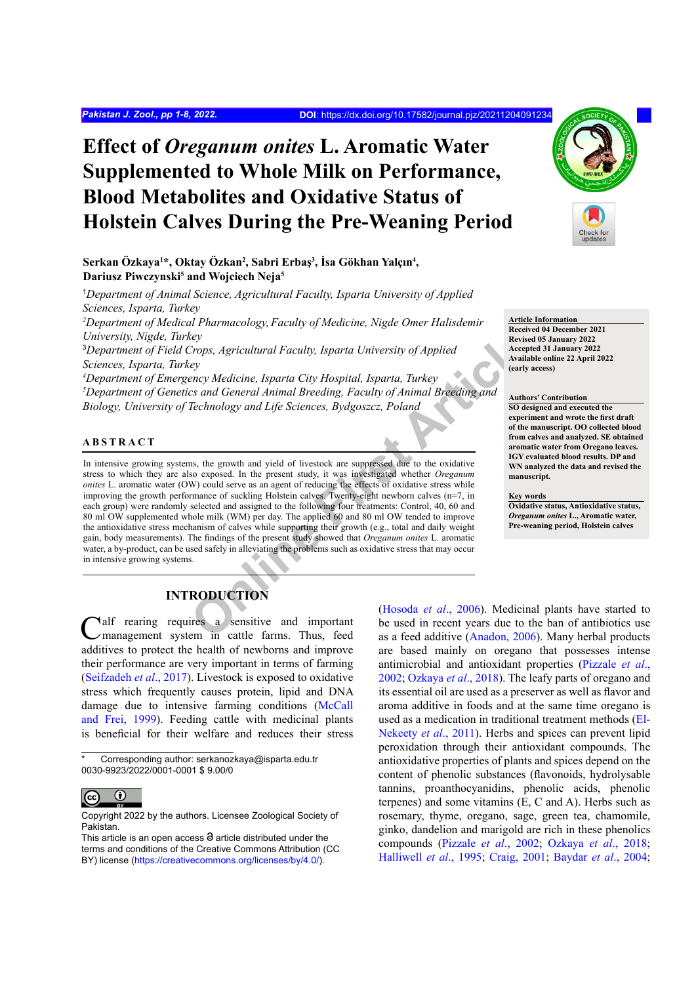# **Effect of** *Oreganum onites* **L. Aromatic Water Supplemented to Whole Milk on Performance, Blood Metabolites and Oxidative Status of Holstein Calves During the Pre-Weaning Period**

**Serkan Özkaya1 \*, Oktay Özkan2 , Sabri Erbaş<sup>3</sup> , İsa Gökhan Yalçın<sup>4</sup> , Dariusz Piwczynski5 and Wojciech Neja5**

<sup>1</sup>Department of Animal Science, Agricultural Faculty, Isparta University of Applied *Sciences, Isparta, Turkey* <sup>2</sup>Department of Medical Pharmacology, Faculty of Medicine, Nigde Omer Halisdemir *University, Nigde, Turkey* 

3 *Department of Field Crops, Agricultural Faculty, Isparta University of Applied Sciences, Isparta, Turkey*

*4 Department of Emergency Medicine, Isparta City Hospital, Isparta, Turkey 5 Department of Genetics and General Animal Breeding, Faculty of Animal Breeding and Biology, University of Technology and Life Sciences, Bydgoszcz, Poland*

#### **ABSTRACT**

Examples a series a series a series a series a series a series a series a series a series a series a series a series a series a series a series a series a series a series a series a series a series a series a series a seri In intensive growing systems, the growth and yield of livestock are suppressed due to the oxidative stress to which they are also exposed. In the present study, it was investigated whether *Oreganum onites* L. aromatic water (OW) could serve as an agent of reducing the effects of oxidative stress while improving the growth performance of suckling Holstein calves. Twenty-eight newborn calves (n=7, in each group) were randomly selected and assigned to the following four treatments: Control, 40, 60 and 80 ml OW supplemented whole milk (WM) per day. The applied 60 and 80 ml OW tended to improve the antioxidative stress mechanism of calves while supporting their growth (e.g., total and daily weight gain, body measurements). The findings of the present study showed that *Oreganum onites* L. aromatic water, a by-product, can be used safely in alleviating the problems such as oxidative stress that may occur in intensive growing systems.



**Article Information**

**Received 04 December 2021 Revised 05 January 2022 Accepted 31 January 2022 Available online 22 April 2022 (early access)**

#### **Authors' Contribution**

**SO designed and executed the experiment and wrote the first draft of the manuscript. OO collected blood from calves and analyzed. SE obtained aromatic water from Oregano leaves. IGY evaluated blood results. DP and WN analyzed the data and revised the manuscript.**

#### **Key words**

**Oxidative status, Antioxidative status,**  *Oreganum onites* **L., Aromatic water, Pre-weaning period, Holstein calves**

## **INTRODUCTION**

Calf rearing requires a sensitive and important management system in cattle farms. Thus, feed additives to protect the health of newborns and improve their performance are very important in terms of farming [\(Seifzadeh](#page-7-0) *et al*., 2017). Livestock is exposed to oxidative stress which frequently causes protein, lipid and DNA damage due to intensive farming conditions [\(McCall](#page-6-0) [and Frei, 1999\)](#page-6-0). Feeding cattle with medicinal plants is beneficial for their welfare and reduces their stress

Corresponding author: serkanozkaya@isparta.edu.tr 0030-9923/2022/0001-0001 \$ 9.00/0



Copyright 2022 by the authors. Licensee Zoological Society of Pakistan.

(Hosoda *et al*., 2006). Medicinal plants have started to be used in recent years due to the ban of antibiotics use as a feed additive ([Anadon, 2006\)](#page-5-0). Many herbal products are based mainly on oregano that possesses intense antimicrobial and antioxidant properties [\(Pizzale](#page-7-1) *et al*., [2002;](#page-7-1) [Ozkaya](#page-6-2) *et al*., 2018). The leafy parts of oregano and its essential oil are used as a preserver as well as flavor and aroma additive in foods and at the same time oregano is used as a medication in traditional treatment methods [\(El-](#page-6-3)[Nekeety](#page-6-3) *et al*., 2011). Herbs and spices can prevent lipid peroxidation through their antioxidant compounds. The antioxidative properties of plants and spices depend on the content of phenolic substances (flavonoids, hydrolysable tannins, proanthocyanidins, phenolic acids, phenolic terpenes) and some vitamins (E, C and A). Herbs such as rosemary, thyme, oregano, sage, green tea, chamomile, ginko, dandelion and marigold are rich in these phenolics compounds [\(Pizzale](#page-7-1) *et al*., 2002; [Ozkaya](#page-6-2) *et al*., 2018; [Halliwell](#page-6-4) *et al*., 1995; [Craig, 2001](#page-6-5); [Baydar](#page-5-1) *et al*., 2004;

This article is an open access  $\Theta$  article distributed under the terms and conditions of the Creative Commons Attribution (CC BY) license (https://creativecommons.org/licenses/by/4.0/).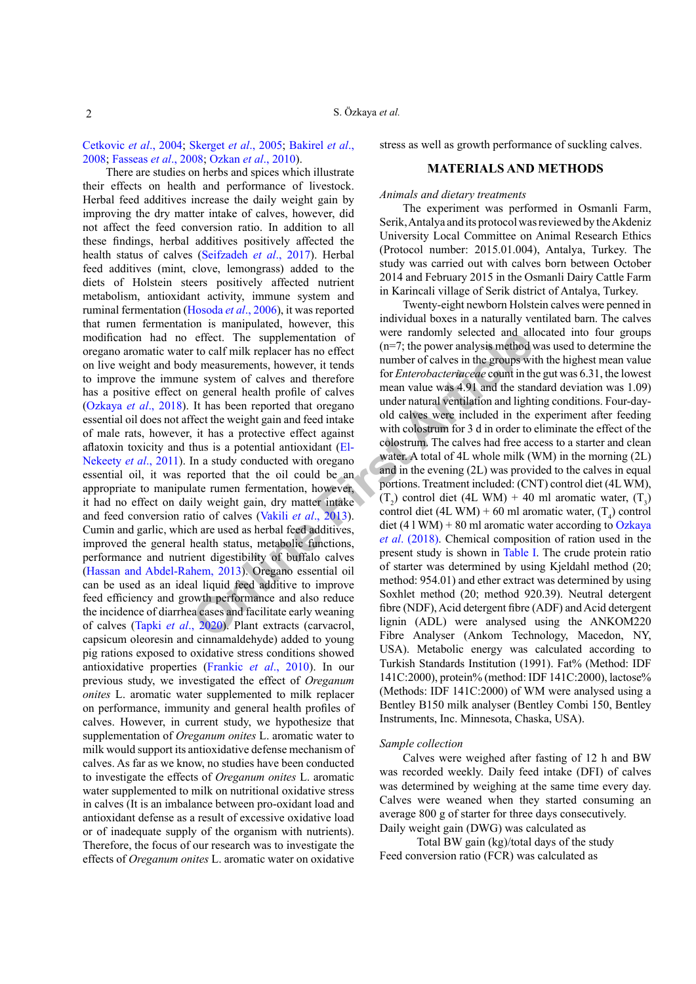[Cetkovic](#page-6-6) *et al*., 2004; [Skerget](#page-7-2) *et al*., 2005; [Bakirel](#page-5-2) *et al*., [2008;](#page-5-2) [Fasseas](#page-6-7) *et al*., 2008; [Ozkan](#page-6-8) *et al*., 2010).

[e](#page-7-3)ffect. The supplementation of<br>
the colect that the same of calves and the same through the same through the same through the same shower, it tends to the same value was 4.91 and the standard proper and hall profile of ca There are studies on herbs and spices which illustrate their effects on health and performance of livestock. Herbal feed additives increase the daily weight gain by improving the dry matter intake of calves, however, did not affect the feed conversion ratio. In addition to all these findings, herbal additives positively affected the health status of calves ([Seifzadeh](#page-7-0) *et al*., 2017). Herbal feed additives (mint, clove, lemongrass) added to the diets of Holstein steers positively affected nutrient metabolism, antioxidant activity, immune system and ruminal fermentation [\(Hosoda](#page-6-1) *et al*., 2006), it was reported that rumen fermentation is manipulated, however, this modification had no effect. The supplementation of oregano aromatic water to calf milk replacer has no effect on live weight and body measurements, however, it tends to improve the immune system of calves and therefore has a positive effect on general health profile of calves [\(Ozkaya](#page-6-2) *et al*., 2018). It has been reported that oregano essential oil does not affect the weight gain and feed intake of male rats, however, it has a protective effect against aflatoxin toxicity and thus is a potential antioxidant (El-[Nekeety](#page-6-3) *et al*., 2011). In a study conducted with oregano essential oil, it was reported that the oil could be an appropriate to manipulate rumen fermentation, however, it had no effect on daily weight gain, dry matter intake and feed conversion ratio of calves (Vakili *et al*., 2013). Cumin and garlic, which are used as herbal feed additives, improved the general health status, metabolic functions, performance and nutrient digestibility of buffalo calves [\(Hassan and Abdel-Rahem, 2013\)](#page-6-9). Oregano essential oil can be used as an ideal liquid feed additive to improve feed efficiency and growth performance and also reduce the incidence of diarrhea cases and facilitate early weaning of calves (Tapki *et al*., 2020). Plant extracts (carvacrol, capsicum oleoresin and cinnamaldehyde) added to young pig rations exposed to oxidative stress conditions showed antioxidative properties [\(Frankic](#page-6-10) *et al*., 2010). In our previous study, we investigated the effect of *Oreganum onites* L. aromatic water supplemented to milk replacer on performance, immunity and general health profiles of calves. However, in current study, we hypothesize that supplementation of *Oreganum onites* L. aromatic water to milk would support its antioxidative defense mechanism of calves. As far as we know, no studies have been conducted to investigate the effects of *Oreganum onites* L. aromatic water supplemented to milk on nutritional oxidative stress in calves (It is an imbalance between pro-oxidant load and antioxidant defense as a result of excessive oxidative load or of inadequate supply of the organism with nutrients). Therefore, the focus of our research was to investigate the effects of *Oreganum onites* L. aromatic water on oxidative

stress as well as growth performance of suckling calves.

## **MATERIALS AND METHODS**

## *Animals and dietary treatments*

The experiment was performed in Osmanli Farm, Serik, Antalya and its protocol was reviewed by the Akdeniz University Local Committee on Animal Research Ethics (Protocol number: 2015.01.004), Antalya, Turkey. The study was carried out with calves born between October 2014 and February 2015 in the Osmanli Dairy Cattle Farm in Karincali village of Serik district of Antalya, Turkey.

Twenty-eight newborn Holstein calves were penned in individual boxes in a naturally ventilated barn. The calves were randomly selected and allocated into four groups (n=7; the power analysis method was used to determine the number of calves in the groups with the highest mean value for *Enterobacteriaceae* count in the gut was 6.31, the lowest mean value was 4.91 and the standard deviation was 1.09) under natural ventilation and lighting conditions. Four-dayold calves were included in the experiment after feeding with colostrum for 3 d in order to eliminate the effect of the colostrum. The calves had free access to a starter and clean water. A total of 4L whole milk (WM) in the morning (2L) and in the evening (2L) was provided to the calves in equal portions. Treatment included: (CNT) control diet (4L WM),  $(T_2)$  control diet (4L WM) + 40 ml aromatic water,  $(T_3)$ control diet (4L WM) + 60 ml aromatic water,  $(T_4)$  control diet (4 l WM) + 80 ml aromatic water according to  $Oz$ kaya *et al*. (2018). Chemical composition of ration used in the present study is shown in Table I. The crude protein ratio of starter was determined by using Kjeldahl method (20; method: 954.01) and ether extract was determined by using Soxhlet method (20; method 920.39). Neutral detergent fibre (NDF), Acid detergent fibre (ADF) and Acid detergent lignin (ADL) were analysed using the ANKOM220 Fibre Analyser (Ankom Technology, Macedon, NY, USA). Metabolic energy was calculated according to Turkish Standards Institution (1991). Fat% (Method: IDF 141C:2000), protein% (method: IDF 141C:2000), lactose% (Methods: IDF 141C:2000) of WM were analysed using a Bentley B150 milk analyser (Bentley Combi 150, Bentley Instruments, Inc. Minnesota, Chaska, USA).

#### *Sample collection*

Calves were weighed after fasting of 12 h and BW was recorded weekly. Daily feed intake (DFI) of calves was determined by weighing at the same time every day. Calves were weaned when they started consuming an average 800 g of starter for three days consecutively. Daily weight gain (DWG) was calculated as

Total BW gain (kg)/total days of the study Feed conversion ratio (FCR) was calculated as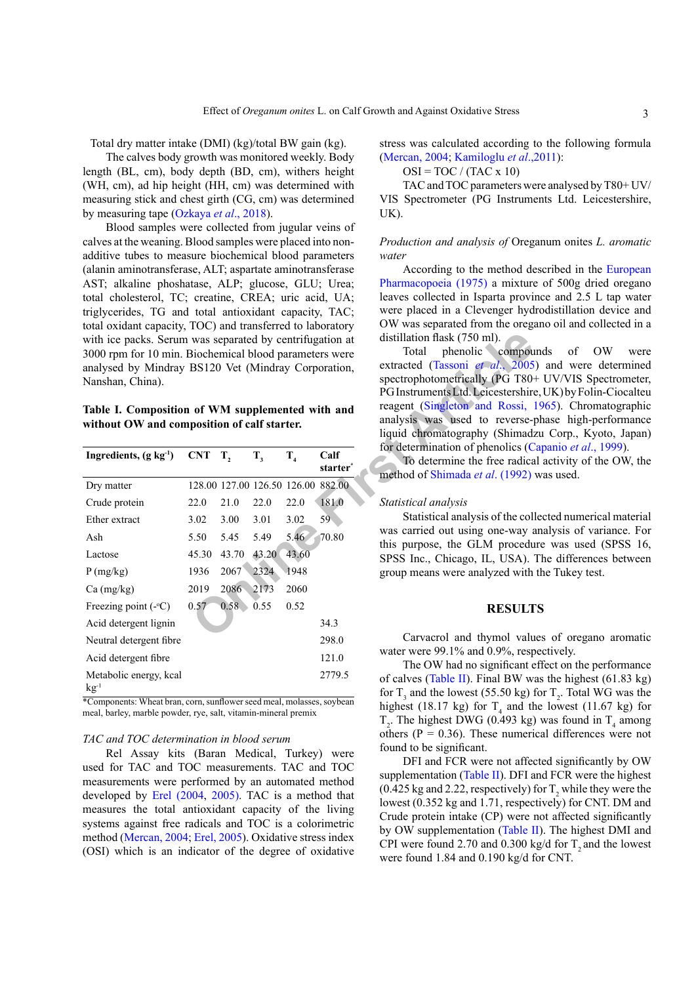Total dry matter intake (DMI) (kg)/total BW gain (kg).

The calves body growth was monitored weekly. Body length (BL, cm), body depth (BD, cm), withers height (WH, cm), ad hip height (HH, cm) was determined with measuring stick and chest girth (CG, cm) was determined by measuring tape ([Ozkaya](#page-6-2) *et al*., 2018).

Blood samples were collected from jugular veins of calves at the weaning. Blood samples were placed into nonadditive tubes to measure biochemical blood parameters (alanin aminotransferase, ALT; aspartate aminotransferase AST; alkaline phoshatase, ALP; glucose, GLU; Urea; total cholesterol, TC; creatine, CREA; uric acid, UA; triglycerides, TG and total antioxidant capacity, TAC; total oxidant capacity, TOC) and transferred to laboratory with ice packs. Serum was separated by centrifugation at 3000 rpm for 10 min. Biochemical blood parameters were analysed by Mindray BS120 Vet (Mindray Corporation, Nanshan, China).

<span id="page-2-0"></span>**Table I. Composition of WM supplemented with and without OW and composition of calf starter.**

| with ice packs. Serum was separated by centrifugation at<br>3000 rpm for 10 min. Biochemical blood parameters were<br>analysed by Mindray BS120 Vet (Mindray Corporation,<br>Nanshan, China).<br>Table I. Composition of WM supplemented with and<br>without OW and composition of calf starter. |            |                  |         |         |                                    | distillation flask (750 ml).<br>Total phenolic<br>compou<br>extracted (Tassoni et al., 2005<br>spectrophotometrically (PG T80-<br>PG Instruments Ltd. Leicestershire<br>reagent (Singleton and Rossi,<br>analysis was used to reverse-<br>liquid chromatography (Shimad: |
|--------------------------------------------------------------------------------------------------------------------------------------------------------------------------------------------------------------------------------------------------------------------------------------------------|------------|------------------|---------|---------|------------------------------------|--------------------------------------------------------------------------------------------------------------------------------------------------------------------------------------------------------------------------------------------------------------------------|
| Ingredients, $(g \ kg-1)$                                                                                                                                                                                                                                                                        | <b>CNT</b> | $\mathbf{T},$    | $T_{3}$ | $T_{4}$ | Calf<br>starter <sup>*</sup>       | for determination of phenolics (C<br>To determine the free radica<br>method of Shimada et al. (1992)                                                                                                                                                                     |
| Dry matter                                                                                                                                                                                                                                                                                       |            |                  |         |         | 128.00 127.00 126.50 126.00 882.00 |                                                                                                                                                                                                                                                                          |
| Crude protein                                                                                                                                                                                                                                                                                    | 22.0       | 21.0             | 22.0    | 22.0    | 181.0                              | Statistical analysis                                                                                                                                                                                                                                                     |
| Ether extract                                                                                                                                                                                                                                                                                    | 3.02       | 3.00             | 3.01    | 3.02    | 59 <sup>2</sup>                    | Statistical analysis of the col                                                                                                                                                                                                                                          |
| Ash                                                                                                                                                                                                                                                                                              | 5.50       | 5.45             | 5.49    | 5.46    | 70.80                              | was carried out using one-way a<br>this purpose, the GLM procedu                                                                                                                                                                                                         |
| Lactose                                                                                                                                                                                                                                                                                          | 45.30      | 43.70            | 43.20   | 43.60   |                                    | SPSS Inc., Chicago, IL, USA).                                                                                                                                                                                                                                            |
| P(mg/kg)                                                                                                                                                                                                                                                                                         | 1936       | 2067             | 2324    | 1948    |                                    | group means were analyzed with                                                                                                                                                                                                                                           |
| $Ca$ (mg/kg)                                                                                                                                                                                                                                                                                     | 2019       | 2086 2173        |         | 2060    |                                    |                                                                                                                                                                                                                                                                          |
| Freezing point $(-\circ C)$                                                                                                                                                                                                                                                                      | 0.57       | $0.58 - 0.55$    |         | 0.52    |                                    | <b>RESULT</b>                                                                                                                                                                                                                                                            |
| Acid detergent lignin                                                                                                                                                                                                                                                                            |            |                  |         |         | 34.3                               |                                                                                                                                                                                                                                                                          |
| Neutral detergent fibre                                                                                                                                                                                                                                                                          |            |                  |         |         | 298.0                              | Carvacrol and thymol valu                                                                                                                                                                                                                                                |
| Acid detergent fibre                                                                                                                                                                                                                                                                             |            |                  |         |         | 121.0                              | water were $99.1\%$ and $0.9\%$ , resp<br>The OW had no significant of                                                                                                                                                                                                   |
| Metabolic energy, kcal<br>$kg^{-1}$<br>$\ldots$ William and $\ldots$                                                                                                                                                                                                                             |            | $\overline{a}$ . |         |         | 2779.5                             | of calves (Table II). Final BW w<br>for $T_3$ and the lowest (55.50 kg) is                                                                                                                                                                                               |

\*Components: Wheat bran, corn, sunflower seed meal, molasses, soybean meal, barley, marble powder, rye, salt, vitamin-mineral premix

#### *TAC and TOC determination in blood serum*

Rel Assay kits (Baran Medical, Turkey) were used for TAC and TOC measurements. TAC and TOC measurements were performed by an automated method developed by [Erel \(2004](#page-6-11), [2005\)](#page-6-12). TAC is a method that measures the total antioxidant capacity of the living systems against free radicals and TOC is a colorimetric method [\(Mercan, 2004](#page-6-13); [Erel, 2005](#page-6-12)). Oxidative stress index (OSI) which is an indicator of the degree of oxidative stress was calculated according to the following formula [\(Mercan, 2004;](#page-6-13) [Kamiloglu](#page-6-14) *et al*.,2011):

 $OSI = TOC / (TAC x 10)$ 

TAC and TOC parameters were analysed by T80+ UV/ VIS Spectrometer (PG Instruments Ltd. Leicestershire, UK).

#### *Production and analysis of* Oreganum onites *L. aromatic water*

According to the method described in the [European](#page-6-15) [Pharmacopoeia \(1975\)](#page-6-15) a mixture of 500g dried oregano leaves collected in Isparta province and 2.5 L tap water were placed in a Clevenger hydrodistillation device and OW was separated from the oregano oil and collected in a distillation flask (750 ml).

Total phenolic compounds of OW were extracted (Tassoni *et al*., 2005) and were determined spectrophotometrically (PG T80+ UV/VIS Spectrometer, PG Instruments Ltd. Leicestershire, UK) by Folin-Ciocalteu reagent (Singleton and Rossi, 1965). Chromatographic analysis was used to reverse-phase high-performance liquid chromatography (Shimadzu Corp., Kyoto, Japan) for determination of phenolics ([Capanio](#page-6-16) *et al*., 1999).

To determine the free radical activity of the OW, the method of Shimada *et al*. (1992) was used.

#### *Statistical analysis*

Statistical analysis of the collected numerical material was carried out using one-way analysis of variance. For this purpose, the GLM procedure was used (SPSS 16, SPSS Inc., Chicago, IL, USA). The differences between group means were analyzed with the Tukey test.

#### **RESULTS**

Carvacrol and thymol values of oregano aromatic water were 99.1% and 0.9%, respectively.

The OW had no significant effect on the performance of calves [\(Table II\)](#page-3-0). Final BW was the highest (61.83 kg) for  $T_3$  and the lowest (55.50 kg) for  $T_2$ . Total WG was the highest (18.17 kg) for  $T_4$  and the lowest (11.67 kg) for  $T_2$ . The highest DWG (0.493 kg) was found in  $T_4$  among others ( $P = 0.36$ ). These numerical differences were not found to be significant.

DFI and FCR were not affected significantly by OW supplementation ([Table II\)](#page-3-0). DFI and FCR were the highest (0.425 kg and 2.22, respectively) for  $T_2$  while they were the lowest (0.352 kg and 1.71, respectively) for CNT. DM and Crude protein intake (CP) were not affected significantly by OW supplementation ([Table II](#page-3-0)). The highest DMI and CPI were found 2.70 and  $0.300 \text{ kg/d}$  for T<sub>2</sub> and the lowest were found 1.84 and 0.190 kg/d for CNT.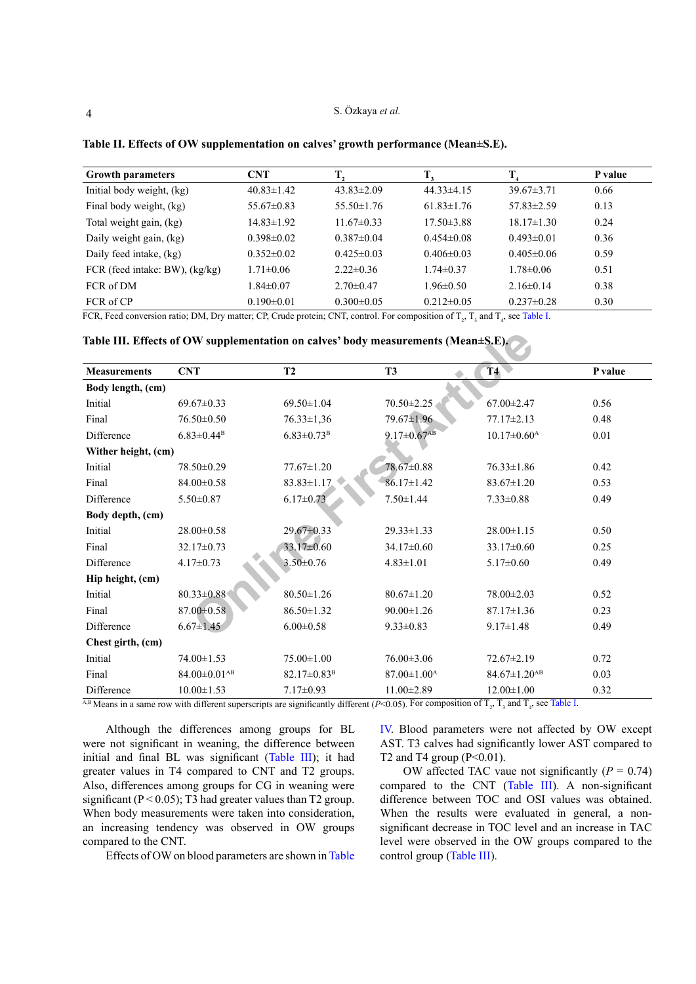#### S. Özkaya *et al.*

| <b>Growth parameters</b>       | <b>CNT</b>       |                  |                  | T                | P value |
|--------------------------------|------------------|------------------|------------------|------------------|---------|
| Initial body weight, (kg)      | $40.83 \pm 1.42$ | $43.83 \pm 2.09$ | $44.33 \pm 4.15$ | $39.67 \pm 3.71$ | 0.66    |
| Final body weight, (kg)        | $55.67\pm0.83$   | $55.50 \pm 1.76$ | $61.83 \pm 1.76$ | $57.83 \pm 2.59$ | 0.13    |
| Total weight gain, (kg)        | $14.83 \pm 1.92$ | $11.67\pm0.33$   | $17.50 \pm 3.88$ | $18.17 \pm 1.30$ | 0.24    |
| Daily weight gain, (kg)        | $0.398 \pm 0.02$ | $0.387\pm0.04$   | $0.454\pm0.08$   | $0.493\pm0.01$   | 0.36    |
| Daily feed intake, (kg)        | $0.352 \pm 0.02$ | $0.425 \pm 0.03$ | $0.406 \pm 0.03$ | $0.405 \pm 0.06$ | 0.59    |
| FCR (feed intake: BW), (kg/kg) | $1.71 \pm 0.06$  | $2.22 \pm 0.36$  | $1.74\pm0.37$    | $1.78 \pm 0.06$  | 0.51    |
| FCR of DM                      | $1.84 \pm 0.07$  | $2.70 \pm 0.47$  | $1.96 \pm 0.50$  | $2.16\pm0.14$    | 0.38    |
| FCR of CP                      | $0.190 \pm 0.01$ | $0.300 \pm 0.05$ | $0.212 \pm 0.05$ | $0.237 \pm 0.28$ | 0.30    |

<span id="page-3-0"></span>**Table II. Effects of OW supplementation on calves' growth performance (Mean±S.E).**

FCR, Feed conversion ratio; DM, Dry matter; CP, Crude protein; CNT, control. For composition of  $T_2$ ,  $T_3$  and  $T_4$ , see [Table I](#page-2-0).

**Table III. Effects of OW supplementation on calves' body measurements (Mean±S.E).** 

<span id="page-3-1"></span>

| <b>Measurements</b> | <b>CNT</b>                     | <b>T2</b>                    | <b>T3</b>                     | T4                             | P value |
|---------------------|--------------------------------|------------------------------|-------------------------------|--------------------------------|---------|
| Body length, (cm)   |                                |                              |                               |                                |         |
| Initial             | $69.67 \pm 0.33$               | $69.50 \pm 1.04$             | $70.50 \pm 2.25$              | $67.00 \pm 2.47$               | 0.56    |
| Final               | $76.50\pm0.50$                 | $76.33 \pm 1.36$             | 79.67±1.96                    | $77.17 \pm 2.13$               | 0.48    |
| Difference          | $6.83 \pm 0.44$ <sup>B</sup>   | $6.83 \pm 0.73$ <sup>B</sup> | $9.17 \pm 0.67$ <sup>AB</sup> | $10.17 \pm 0.60^{\text{A}}$    | 0.01    |
| Wither height, (cm) |                                |                              |                               |                                |         |
| Initial             | 78.50±0.29                     | $77.67 \pm 1.20$             | 78.67±0.88                    | $76.33 \pm 1.86$               | 0.42    |
| Final               | $84.00 \pm 0.58$               | $83.83 \pm 1.17$             | $86.17 \pm 1.42$              | $83.67 \pm 1.20$               | 0.53    |
| Difference          | $5.50 \pm 0.87$                | $6.17 \pm 0.73$              | $7.50 \pm 1.44$               | $7.33 \pm 0.88$                | 0.49    |
| Body depth, (cm)    |                                |                              |                               |                                |         |
| Initial             | $28.00 \pm 0.58$               | $29.67 \pm 0.33$             | $29.33 \pm 1.33$              | $28.00 \pm 1.15$               | 0.50    |
| Final               | $32.17 \pm 0.73$               | 33.17±0.60                   | $34.17\pm0.60$                | $33.17 \pm 0.60$               | 0.25    |
| Difference          | $4.17 \pm 0.73$                | $3.50 \pm 0.76$              | $4.83 \pm 1.01$               | $5.17 \pm 0.60$                | 0.49    |
| Hip height, (cm)    |                                |                              |                               |                                |         |
| Initial             | 80.33±0.88                     | $80.50 \pm 1.26$             | $80.67 \pm 1.20$              | $78.00 \pm 2.03$               | 0.52    |
| Final               | 87.00 ± 0.58                   | $86.50 \pm 1.32$             | $90.00 \pm 1.26$              | $87.17 \pm 1.36$               | 0.23    |
| Difference          | $6.67 \pm 1.45$                | $6.00 \pm 0.58$              | $9.33 \pm 0.83$               | $9.17 \pm 1.48$                | 0.49    |
| Chest girth, (cm)   |                                |                              |                               |                                |         |
| Initial             | $74.00 \pm 1.53$               | $75.00 \pm 1.00$             | $76.00 \pm 3.06$              | $72.67 \pm 2.19$               | 0.72    |
| Final               | $84.00 \pm 0.01$ <sup>AB</sup> | $82.17 \pm 0.83^{\rm B}$     | $87.00 \pm 1.00^{\text{A}}$   | $84.67 \pm 1.20$ <sup>AB</sup> | 0.03    |
| Difference          | $10.00 \pm 1.53$               | $7.17 \pm 0.93$              | $11.00 \pm 2.89$              | $12.00 \pm 1.00$               | 0.32    |

<sup>A,B</sup> Means in a same row with different superscripts are significantly different (*P*<0.05). For composition of  $T_2$ ,  $T_3$  and  $T_4$ , see [Table I](#page-2-0).

Although the differences among groups for BL were not significant in weaning, the difference between initial and final BL was significant ([Table III](#page-3-1)); it had greater values in T4 compared to CNT and T2 groups. Also, differences among groups for CG in weaning were significant ( $P < 0.05$ ); T3 had greater values than T2 group. When body measurements were taken into consideration, an increasing tendency was observed in OW groups compared to the CNT.

Effects of OW on blood parameters are shown in [Table](#page-4-0)

[IV](#page-4-0). Blood parameters were not affected by OW except AST. T3 calves had significantly lower AST compared to T2 and T4 group  $(P<0.01)$ .

OW affected TAC vaue not significantly  $(P = 0.74)$ compared to the CNT [\(Table III](#page-3-1)). A non-significant difference between TOC and OSI values was obtained. When the results were evaluated in general, a nonsignificant decrease in TOC level and an increase in TAC level were observed in the OW groups compared to the control group [\(Table III\)](#page-3-1).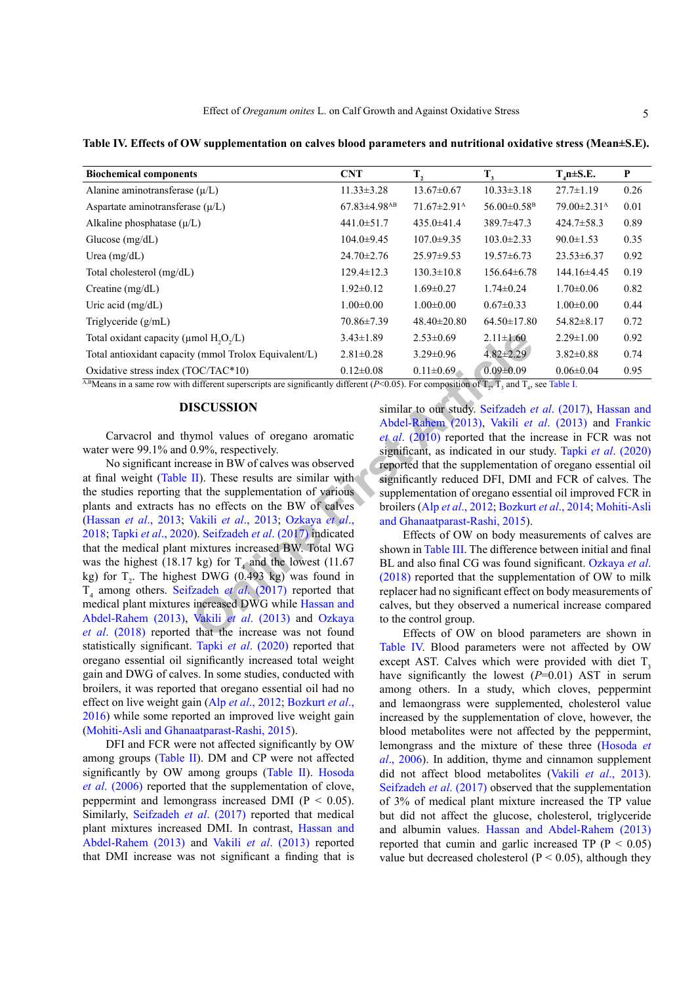<span id="page-4-0"></span>**Table IV. Effects of OW supplementation on calves blood parameters and nutritional oxidative stress (Mean±S.E).**

| <b>Biochemical components</b>                                        | <b>CNT</b>                   | T,                            | $T_{3}$                       | $T_{A}$ n ± S.E.              | P    |
|----------------------------------------------------------------------|------------------------------|-------------------------------|-------------------------------|-------------------------------|------|
| Alanine aminotransferase $(\mu/L)$                                   | $11.33 \pm 3.28$             | $13.67 \pm 0.67$              | $10.33 \pm 3.18$              | $27.7 \pm 1.19$               | 0.26 |
| Aspartate aminotransferase $(\mu/L)$                                 | $67.83\pm4.98$ <sup>AB</sup> | $71.67 \pm 2.91$ <sup>A</sup> | $56.00 \pm 0.58$ <sup>B</sup> | $79.00 \pm 2.31$ <sup>A</sup> | 0.01 |
| Alkaline phosphatase $(\mu/L)$                                       | $441.0 \pm 51.7$             | $435.0 \pm 41.4$              | 389.7±47.3                    | $424.7 \pm 58.3$              | 0.89 |
| Glucose $(mg/dL)$                                                    | $104.0 \pm 9.45$             | $107.0 \pm 9.35$              | $103.0 \pm 2.33$              | $90.0 \pm 1.53$               | 0.35 |
| Urea $(mg/dL)$                                                       | $24.70 \pm 2.76$             | $25.97 \pm 9.53$              | $19.57\pm 6.73$               | $23.53\pm 6.37$               | 0.92 |
| Total cholesterol (mg/dL)                                            | $129.4 \pm 12.3$             | $130.3 \pm 10.8$              | $156.64\pm 6.78$              | 144.16±4.45                   | 0.19 |
| Creatine $(mg/dL)$                                                   | $1.92 \pm 0.12$              | $1.69 \pm 0.27$               | $1.74 \pm 0.24$               | $1.70 \pm 0.06$               | 0.82 |
| Uric acid $(mg/dL)$                                                  | $1.00 \pm 0.00$              | $1.00 \pm 0.00$               | $0.67 \pm 0.33$               | $1.00 \pm 0.00$               | 0.44 |
| Triglyceride $(g/mL)$                                                | 70.86±7.39                   | $48.40 \pm 20.80$             | $64.50 \pm 17.80$             | $54.82 \pm 8.17$              | 0.72 |
| Total oxidant capacity ( $\mu$ mol H <sub>2</sub> O <sub>2</sub> /L) | $3.43 \pm 1.89$              | $2.53 \pm 0.69$               | $2.11 \pm 1.60$               | $2.29 \pm 1.00$               | 0.92 |
| Total antioxidant capacity (mmol Trolox Equivalent/L)                | $2.81 \pm 0.28$              | $3.29 \pm 0.96$               | $4.82 \pm 2.29$               | $3.82\pm0.88$                 | 0.74 |
| Oxidative stress index $(TOC/TAC*10)$                                | $0.12 \pm 0.08$              | $0.11 \pm 0.69$               | $0.09 \pm 0.09$               | $0.06 \pm 0.04$               | 0.95 |

<sup>A,B</sup>Means in a same row with different superscripts are significantly different (*P*<0.05). For composition of  $T_z$ ,  $T_z$  and  $T_x$ , see [Table I](#page-2-0).

### **DISCUSSION**

Carvacrol and thymol values of oregano aromatic water were 99.1% and 0.9%, respectively.

**EXECTS 10**<br>
IMP[O](#page-7-3) ITO The Equivalen[t](#page-6-10)/L)  $2.81\pm0.28$   $3.29\pm0.96$   $4.82\pm2.29$ <br>
COCTAC\*10)  $0.12\pm0.08$   $0.11\pm0.69$   $0.09\pm0.09$ <br>
different superscripts are significantly different (P<0.05). [F](#page-6-2)or compos[i](#page-7-0)tion of  $T_a$ ,  $T_a$ No significant increase in BW of calves was observed at final weight ([Table II](#page-3-0)). These results are similar with the studies reporting that the supplementation of various plants and extracts has no effects on the BW of calves [\(Hassan](#page-6-9) *et al*., 2013; Vakili *et al*., 2013; Ozkaya *et al*., [2018;](#page-6-2) Tapki *et al*[., 2020](#page-7-4)). Seifzadeh *et al*. (2017) indicated that the medical plant mixtures increased BW. Total WG was the highest (18.17 kg) for  $T_4$  and the lowest (11.67 kg) for  $T_2$ . The highest DWG (0.493 kg) was found in T<sub>4</sub> among others. Seifzadeh *et al.* (2017) reported that medical plant mixtures increased DWG while Hassan and [Abdel-Rahem \(2013\)](#page-6-9), Vakili *et al*. (2013) and Ozkaya *et al*[. \(2018\)](#page-6-2) reported that the increase was not found statistically significant. Tapki *et al*[. \(2020\)](#page-7-4) reported that oregano essential oil significantly increased total weight gain and DWG of calves. In some studies, conducted with broilers, it was reported that oregano essential oil had no effect on live weight gain (Alp *et al*[., 2012;](#page-5-3) [Bozkurt](#page-5-4) *et al*., [2016\)](#page-5-4) while some reported an improved live weight gain [\(Mohiti-Asli and Ghanaatparast-Rashi, 2015](#page-6-17)).

DFI and FCR were not affected significantly by OW among groups ([Table II](#page-3-0)). DM and CP were not affected significantly by OW among groups ([Table II\)](#page-3-0). [Hosoda](#page-6-1) *et al*[. \(2006\)](#page-6-1) reported that the supplementation of clove, peppermint and lemongrass increased DMI (P < 0.05). Similarly, [Seifzadeh](#page-7-0) *et al*. (2017) reported that medical plant mixtures increased DMI. In contrast, [Hassan and](#page-6-9) [Abdel-Rahem \(2013\)](#page-6-9) and Vakili *et al*[. \(2013\)](#page-7-3) reported that DMI increase was not significant a finding that is

similar to our study. Seifzadeh *et al*. (2017), [Hassan and](#page-6-9) Abdel-Rahem (2013), Vakili *et al*. (2013) and [Frankic](#page-6-10) *et al*. (2010) reported that the increase in FCR was not significant, as indicated in our study. Tapki *et al*[. \(2020\)](#page-7-4) reported that the supplementation of oregano essential oil significantly reduced DFI, DMI and FCR of calves. The supplementation of oregano essential oil improved FCR in broilers (Alp *et al*., 2012; Bozkurt *et al*., 2014; [Mohiti-Asli](#page-6-17) and Ghanaatparast-Rashi, 2015).

Effects of OW on body measurements of calves are shown in Table III. The difference between initial and final BL and also final CG was found significant. [Ozkaya](#page-6-2) *et al*. (2018) reported that the supplementation of OW to milk replacer had no significant effect on body measurements of calves, but they observed a numerical increase compared to the control group.

Effects of OW on blood parameters are shown in [Table IV](#page-4-0). Blood parameters were not affected by OW except AST. Calves which were provided with diet  $T<sub>3</sub>$ have significantly the lowest ( $P=0.01$ ) AST in serum among others. In a study, which cloves, peppermint and lemaongrass were supplemented, cholesterol value increased by the supplementation of clove, however, the blood metabolites were not affected by the peppermint, lemongrass and the mixture of these three [\(Hosoda](#page-6-1) *et al*[., 2006](#page-6-1)). In addition, thyme and cinnamon supplement did not affect blood metabolites (Vakili *et al*[., 2013](#page-7-3)). [Seifzadeh](#page-7-0) *et al*. (2017) observed that the supplementation of 3% of medical plant mixture increased the TP value but did not affect the glucose, cholesterol, triglyceride and albumin values. [Hassan and Abdel-Rahem \(2013\)](#page-6-9) reported that cumin and garlic increased TP ( $P < 0.05$ ) value but decreased cholesterol ( $P < 0.05$ ), although they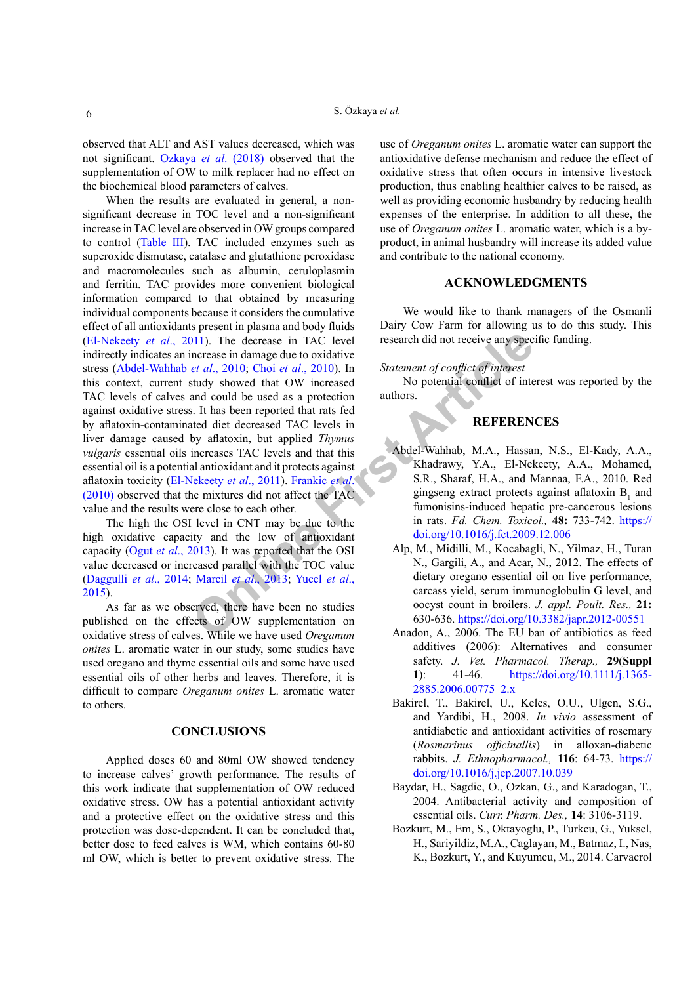observed that ALT and AST values decreased, which was not significant. Ozkaya *et al*[. \(2018\)](#page-6-2) observed that the supplementation of OW to milk replacer had no effect on the biochemical blood parameters of calves.

**O** a considerable that the DIS and consideration of the set all that the set all the set all the set all the set all the set all the set all the set all the set all the set all the set all the set all the set all the set When the results are evaluated in general, a nonsignificant decrease in TOC level and a non-significant increase in TAC level are observed in OW groups compared to control [\(Table III](#page-3-1)). TAC included enzymes such as superoxide dismutase, catalase and glutathione peroxidase and macromolecules such as albumin, ceruloplasmin and ferritin. TAC provides more convenient biological information compared to that obtained by measuring individual components because it considers the cumulative effect of all antioxidants present in plasma and body fluids [\(El-Nekeety](#page-6-3) *et al*., 2011). The decrease in TAC level indirectly indicates an increase in damage due to oxidative stress ([Abdel-Wahhab](#page-5-5) *et al*., 2010; Choi *et al*., 2010). In this context, current study showed that OW increased TAC levels of calves and could be used as a protection against oxidative stress. It has been reported that rats fed by aflatoxin-contaminated diet decreased TAC levels in liver damage caused by aflatoxin, but applied *Thymus vulgaris* essential oils increases TAC levels and that this essential oil is a potential antioxidant and it protects against aflatoxin toxicity (El-Nekeety *et al*., 2011). Frankic *et al*. [\(2010\)](#page-6-10) observed that the mixtures did not affect the TAC value and the results were close to each other.

The high the OSI level in CNT may be due to the high oxidative capacity and the low of antioxidant capacity (Ogut *et al*[., 201](#page-6-19)3). It was reported that the OSI value decreased or increased parallel with the TOC value [\(Daggulli](#page-6-20) *et al*., 2014; Marcil *et al*., 2013; Yucel *et al*., [2015\)](#page-7-8).

As far as we observed, there have been no studies published on the effects of OW supplementation on oxidative stress of calves. While we have used *Oreganum onites* L. aromatic water in our study, some studies have used oregano and thyme essential oils and some have used essential oils of other herbs and leaves. Therefore, it is difficult to compare *Oreganum onites* L. aromatic water to others.

#### **CONCLUSIONS**

Applied doses 60 and 80ml OW showed tendency to increase calves' growth performance. The results of this work indicate that supplementation of OW reduced oxidative stress. OW has a potential antioxidant activity and a protective effect on the oxidative stress and this protection was dose-dependent. It can be concluded that, better dose to feed calves is WM, which contains 60-80 ml OW, which is better to prevent oxidative stress. The

use of *Oreganum onites* L. aromatic water can support the antioxidative defense mechanism and reduce the effect of oxidative stress that often occurs in intensive livestock production, thus enabling healthier calves to be raised, as well as providing economic husbandry by reducing health expenses of the enterprise. In addition to all these, the use of *Oreganum onites* L. aromatic water, which is a byproduct, in animal husbandry will increase its added value and contribute to the national economy.

#### **ACKNOWLEDGMENTS**

We would like to thank managers of the Osmanli Dairy Cow Farm for allowing us to do this study. This research did not receive any specific funding.

### *Statement of conflict of interest*

No potential conflict of interest was reported by the authors.

## **REFERENCES**

- <span id="page-5-5"></span>Abdel-Wahhab, M.A., Hassan, N.S., El-Kady, A.A., Khadrawy, Y.A., El-Nekeety, A.A., Mohamed, S.R., Sharaf, H.A., and Mannaa, F.A., 2010. Red gingseng extract protects against aflatoxin  $B_1$  and fumonisins-induced hepatic pre-cancerous lesions in rats. *Fd. Chem. Toxicol.,* **48:** 733-742. [https://](https://doi.org/10.1016/j.fct.2009.12.006) doi.org/10.1016/j.fct.2009.12.006
- <span id="page-5-3"></span>Alp, M., Midilli, M., Kocabagli, N., Yilmaz, H., Turan N., Gargili, A., and Acar, N., 2012. The effects of dietary oregano essential oil on live performance, carcass yield, serum immunoglobulin G level, and oocyst count in broilers. *J. appl. Poult. Res.,* **21:** 630-636. <https://doi.org/10.3382/japr.2012-00551>
- <span id="page-5-0"></span>Anadon, A., 2006. The EU ban of antibiotics as feed additives (2006): Alternatives and consumer safety. *J. Vet. Pharmacol. Therap.,* **29**(**Suppl 1**): 41-46. [https://doi.org/10.1111/j.1365-](https://doi.org/10.1111/j.1365-2885.2006.00775_2.x) [2885.2006.00775\\_2.x](https://doi.org/10.1111/j.1365-2885.2006.00775_2.x)
- <span id="page-5-2"></span>Bakirel, T., Bakirel, U., Keles, O.U., Ulgen, S.G., and Yardibi, H., 2008. *In vivio* assessment of antidiabetic and antioxidant activities of rosemary (*Rosmarinus officinallis*) in alloxan-diabetic rabbits. *J. Ethnopharmacol.,* **116**: 64-73. [https://](https://doi.org/10.1016/j.jep.2007.10.039) [doi.org/10.1016/j.jep.2007.10.039](https://doi.org/10.1016/j.jep.2007.10.039)
- <span id="page-5-1"></span>Baydar, H., Sagdic, O., Ozkan, G., and Karadogan, T., 2004. Antibacterial activity and composition of essential oils. *Curr. Pharm. Des.,* **14**: 3106-3119.
- <span id="page-5-4"></span>Bozkurt, M., Em, S., Oktayoglu, P., Turkcu, G., Yuksel, H., Sariyildiz, M.A., Caglayan, M., Batmaz, I., Nas, K., Bozkurt, Y., and Kuyumcu, M., 2014. Carvacrol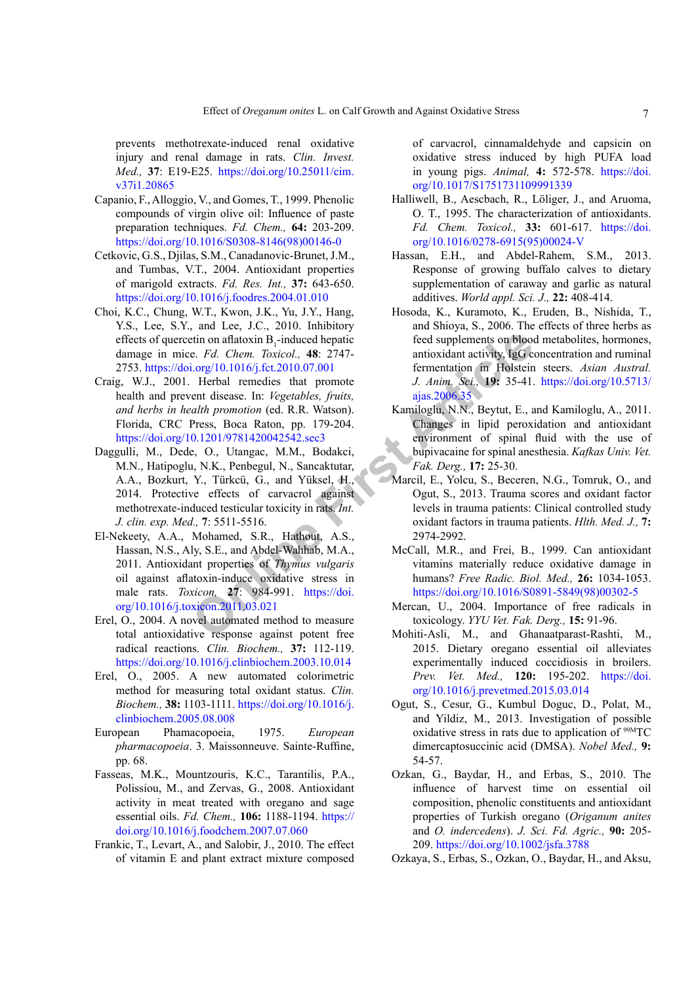prevents methotrexate-induced renal oxidative injury and renal damage in rats. *Clin. Invest. Med.,* **37**: E19-E25. [https://doi.org/10.25011/cim.](https://doi.org/10.25011/cim.v37i1.20865) [v37i1.20865](https://doi.org/10.25011/cim.v37i1.20865)

- <span id="page-6-16"></span>Capanio, F., Alloggio, V., and Gomes, T., 1999. Phenolic compounds of virgin olive oil: Influence of paste preparation techniques. *Fd. Chem.,* **64:** 203-209. [https://doi.org/10.1016/S0308-8146\(98\)00146-0](https://doi.org/10.1016/S0308-8146(98)00146-0)
- <span id="page-6-6"></span>Cetkovic, G.S., Djilas, S.M., Canadanovic-Brunet, J.M., and Tumbas, V.T., 2004. Antioxidant properties of marigold extracts. *Fd. Res. Int.,* **37:** 643-650. <https://doi.org/10.1016/j.foodres.2004.01.010>
- <span id="page-6-18"></span>Choi, K.C., Chung, W.T., Kwon, J.K., Yu, J.Y., Hang, Y.S., Lee, S.Y., and Lee, J.C., 2010. Inhibitory effects of quercetin on aflatoxin  $B_1$ -induced hepatic damage in mice. *Fd. Chem. Toxicol.,* **48**: 2747- 2753.<https://doi.org/10.1016/j.fct.2010.07.001>
- <span id="page-6-5"></span>Craig, W.J., 2001. Herbal remedies that promote health and prevent disease. In: *Vegetables, fruits, and herbs in health promotion* (ed. R.R. Watson). Florida, CRC Press, Boca Raton, pp. 179-204. <https://doi.org/10.1201/9781420042542.sec3>
- <span id="page-6-20"></span><span id="page-6-3"></span>Daggulli, M., Dede, O., Utangac, M.M., Bodakci, M.N., Hatipoglu, N.K., Penbegul, N., Sancaktutar, A.A., Bozkurt, Y., Türkcü, G., and Yüksel, H., 2014. Protective effects of carvacrol against methotrexate-induced testicular toxicity in rats. *Int. J. clin. exp. Med.,* **7**: 5511-5516.
- 2. For the controllation of the same of the same of the same of the same of the same of the same of the same of the same of the same of the same of the same of the same of the same of the same of the same of the same of th El-Nekeety, A.A., Mohamed, S.R., Hathout, A.S., Hassan, N.S., Aly, S.E., and Abdel-Wahhab, M.A., 2011. Antioxidant properties of *Thymus vulgaris* oil against aflatoxin-induce oxidative stress in male rats. *Toxicon,* **27**: 984-991. https://doi. [org/10.1016/j.toxicon.2011.03.021](https://doi.org/10.1016/j.toxicon.2011.03.021)
- <span id="page-6-11"></span>Erel, O., 2004. A novel automated method to measure total antioxidative response against potent free radical reactions. *Clin. Biochem.,* **37:** 112-119. <https://doi.org/10.1016/j.clinbiochem.2003.10.014>
- <span id="page-6-12"></span>Erel, O., 2005. A new automated colorimetric method for measuring total oxidant status. *Clin. Biochem.,* **38:** 1103-1111. [https://doi.org/10.1016/j.](https://doi.org/10.1016/j.clinbiochem.2005.08.008) [clinbiochem.2005.08.008](https://doi.org/10.1016/j.clinbiochem.2005.08.008)
- <span id="page-6-15"></span>European Phamacopoeia, 1975. *European pharmacopoeia*. 3. Maissonneuve. Sainte-Ruffine, pp. 68.
- <span id="page-6-7"></span>Fasseas, M.K., Mountzouris, K.C., Tarantilis, P.A., Polissiou, M., and Zervas, G., 2008. Antioxidant activity in meat treated with oregano and sage essential oils. *Fd. Chem.,* **106:** 1188-1194. [https://](https://doi.org/10.1016/j.foodchem.2007.07.060) [doi.org/10.1016/j.foodchem.2007.07.060](https://doi.org/10.1016/j.foodchem.2007.07.060)
- <span id="page-6-10"></span>Frankic, T., Levart, A., and Salobir, J., 2010. The effect of vitamin E and plant extract mixture composed

of carvacrol, cinnamaldehyde and capsicin on oxidative stress induced by high PUFA load in young pigs. *Animal,* **4:** 572-578. [https://doi.](https://doi.org/10.1017/S1751731109991339) [org/10.1017/S1751731109991339](https://doi.org/10.1017/S1751731109991339)

- <span id="page-6-4"></span>Halliwell, B., Aescbach, R., Löliger, J., and Aruoma, O. T., 1995. The characterization of antioxidants. *Fd. Chem. Toxicol.,* **33:** 601-617. [https://doi.](https://doi.org/10.1016/0278-6915(95)00024-V) [org/10.1016/0278-6915\(95\)00024-V](https://doi.org/10.1016/0278-6915(95)00024-V)
- <span id="page-6-9"></span>Hassan, E.H., and Abdel-Rahem, S.M., 2013. Response of growing buffalo calves to dietary supplementation of caraway and garlic as natural additives. *World appl. Sci. J.,* **22:** 408-414.
- <span id="page-6-1"></span>Hosoda, K., Kuramoto, K., Eruden, B., Nishida, T., and Shioya, S., 2006. The effects of three herbs as feed supplements on blood metabolites, hormones, antioxidant activity, IgG concentration and ruminal fermentation in Holstein steers. *Asian Austral. J. Anim. Sci.,* **19:** 35-41. [https://doi.org/10.5713/](https://doi.org/10.5713/ajas.2006.35) ajas.2006.35
- <span id="page-6-14"></span>Kamiloglu, N.N., Beytut, E., and Kamiloglu, A., 2011. Changes in lipid peroxidation and antioxidant environment of spinal fluid with the use of bupivacaine for spinal anesthesia. *Kafkas Univ. Vet. Fak. Derg.,* **17:** 25-30.
- <span id="page-6-21"></span>Marcil, E., Yolcu, S., Beceren, N.G., Tomruk, O., and Ogut, S., 2013. Trauma scores and oxidant factor levels in trauma patients: Clinical controlled study oxidant factors in trauma patients. *Hlth. Med. J.,* **7:** 2974-2992.
- <span id="page-6-0"></span>McCall, M.R., and Frei, B., 1999. Can antioxidant vitamins materially reduce oxidative damage in humans? *Free Radic. Biol. Med.,* **26:** 1034-1053. [https://doi.org/10.1016/S0891-5849\(98\)00302-5](https://doi.org/10.1016/S0891-5849(98)00302-5)
- <span id="page-6-13"></span>Mercan, U., 2004. Importance of free radicals in toxicology. *YYU Vet. Fak. Derg.,* **15:** 91-96.
- <span id="page-6-17"></span>Mohiti-Asli, M., and Ghanaatparast-Rashti, M., 2015. Dietary oregano essential oil alleviates experimentally induced coccidiosis in broilers. *Prev. Vet. Med.,* **120:** 195-202. [https://doi.](https://doi.org/10.1016/j.prevetmed.2015.03.014) [org/10.1016/j.prevetmed.2015.03.014](https://doi.org/10.1016/j.prevetmed.2015.03.014)
- <span id="page-6-19"></span>Ogut, S., Cesur, G., Kumbul Doguc, D., Polat, M., and Yildiz, M., 2013. Investigation of possible oxidative stress in rats due to application of 99MTC dimercaptosuccinic acid (DMSA). *Nobel Med.,* **9:** 54-57.
- <span id="page-6-8"></span>Ozkan, G., Baydar, H., and Erbas, S., 2010. The influence of harvest time on essential oil composition, phenolic constituents and antioxidant properties of Turkish oregano (*Origanum anites*  and *O. indercedens*). *J. Sci. Fd. Agric.,* **90:** 205- 209.<https://doi.org/10.1002/jsfa.3788>
- <span id="page-6-2"></span>Ozkaya, S., Erbas, S., Ozkan, O., Baydar, H., and Aksu,